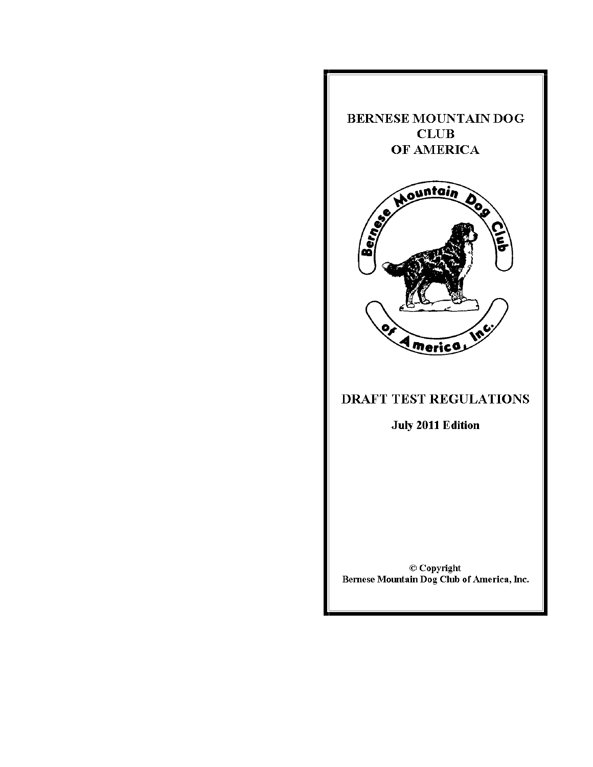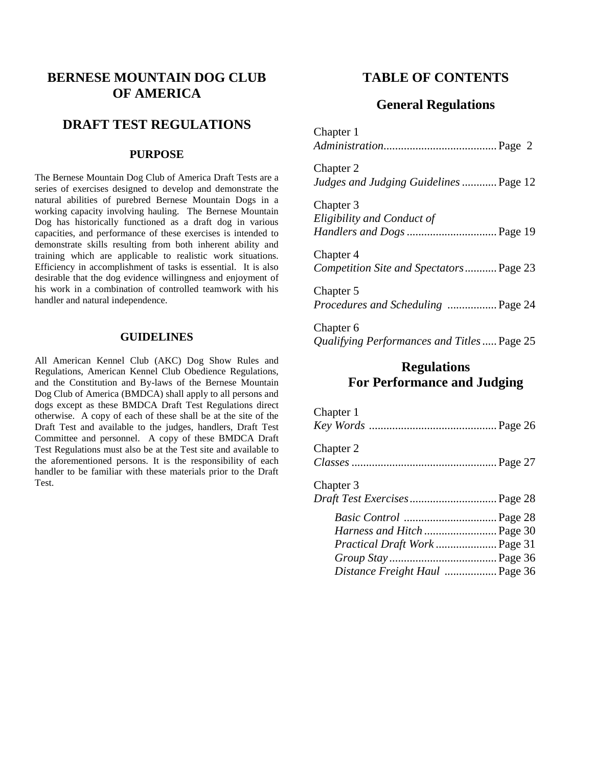# **BERNESE MOUNTAIN DOG CLUB OF AMERICA**

# **DRAFT TEST REGULATIONS**

# **PURPOSE**

The Bernese Mountain Dog Club of America Draft Tests are a series of exercises designed to develop and demonstrate the natural abilities of purebred Bernese Mountain Dogs in a working capacity involving hauling. The Bernese Mountain Dog has historically functioned as a draft dog in various capacities, and performance of these exercises is intended to demonstrate skills resulting from both inherent ability and training which are applicable to realistic work situations. Efficiency in accomplishment of tasks is essential. It is also desirable that the dog evidence willingness and enjoyment of his work in a combination of controlled teamwork with his handler and natural independence.

# **GUIDELINES**

All American Kennel Club (AKC) Dog Show Rules and Regulations, American Kennel Club Obedience Regulations, and the Constitution and By-laws of the Bernese Mountain Dog Club of America (BMDCA) shall apply to all persons and dogs except as these BMDCA Draft Test Regulations direct otherwise. A copy of each of these shall be at the site of the Draft Test and available to the judges, handlers, Draft Test Committee and personnel. A copy of these BMDCA Draft Test Regulations must also be at the Test site and available to the aforementioned persons. It is the responsibility of each handler to be familiar with these materials prior to the Draft Test.

# **TABLE OF CONTENTS**

# **General Regulations**

Chapter 1 *Administration*....................................... Page 2 Chapter 2 *Judges and Judging Guidelines*............ Page 12 Chapter 3 *Eligibility and Conduct of Handlers and Dogs*............................... Page 19 Chapter 4 *Competition Site and Spectators*........... Page 23 Chapter 5 *Procedures and Scheduling* ................. Page 24

Chapter 6 *Qualifying Performances and Titles*..... Page 25

# **Regulations For Performance and Judging**

| Chapter 1                                 |  |
|-------------------------------------------|--|
| Chapter 2                                 |  |
| Chapter 3<br>Draft Test Exercises Page 28 |  |
| Harness and Hitch  Page 30                |  |
| Practical Draft Work  Page 31             |  |
| Distance Freight Haul  Page 36            |  |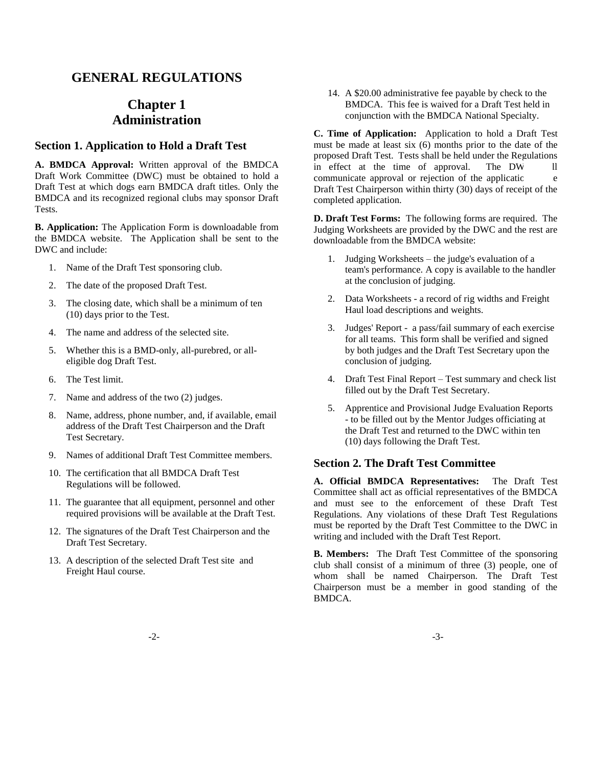# **GENERAL REGULATIONS**

# **Chapter 1 Administration**

# **Section 1. Application to Hold a Draft Test**

**A. BMDCA Approval:** Written approval of the BMDCA Draft Work Committee (DWC) must be obtained to hold a Draft Test at which dogs earn BMDCA draft titles. Only the BMDCA and its recognized regional clubs may sponsor Draft Tests.

**B. Application:** The Application Form is downloadable from the BMDCA website. The Application shall be sent to the DWC and include:

- 1. Name of the Draft Test sponsoring club.
- 2. The date of the proposed Draft Test.
- 3. The closing date, which shall be a minimum of ten (10) days prior to the Test.
- 4. The name and address of the selected site.
- 5. Whether this is a BMD-only, all-purebred, or alleligible dog Draft Test.
- 6. The Test limit.
- 7. Name and address of the two (2) judges.
- 8. Name, address, phone number, and, if available, email address of the Draft Test Chairperson and the Draft Test Secretary.
- 9. Names of additional Draft Test Committee members.
- 10. The certification that all BMDCA Draft Test Regulations will be followed.
- 11. The guarantee that all equipment, personnel and other required provisions will be available at the Draft Test.
- 12. The signatures of the Draft Test Chairperson and the Draft Test Secretary.
- 13. A description of the selected Draft Test site and Freight Haul course.

14. A \$20.00 administrative fee payable by check to the BMDCA. This fee is waived for a Draft Test held in conjunction with the BMDCA National Specialty.

**C. Time of Application:** Application to hold a Draft Test must be made at least six (6) months prior to the date of the proposed Draft Test. Tests shall be held under the Regulations in effect at the time of approval. The DW ll communicate approval or rejection of the application Draft Test Chairperson within thirty (30) days of receipt of the completed application.

**D. Draft Test Forms:** The following forms are required. The Judging Worksheets are provided by the DWC and the rest are downloadable from the BMDCA website:

- 1. Judging Worksheets the judge's evaluation of a team's performance. A copy is available to the handler at the conclusion of judging.
- 2. Data Worksheets a record of rig widths and Freight Haul load descriptions and weights.
- 3. Judges' Report a pass/fail summary of each exercise for all teams. This form shall be verified and signed by both judges and the Draft Test Secretary upon the conclusion of judging.
- 4. Draft Test Final Report Test summary and check list filled out by the Draft Test Secretary.
- 5. Apprentice and Provisional Judge Evaluation Reports - to be filled out by the Mentor Judges officiating at the Draft Test and returned to the DWC within ten (10) days following the Draft Test.

### **Section 2. The Draft Test Committee**

**A. Official BMDCA Representatives:** The Draft Test Committee shall act as official representatives of the BMDCA and must see to the enforcement of these Draft Test Regulations. Any violations of these Draft Test Regulations must be reported by the Draft Test Committee to the DWC in writing and included with the Draft Test Report.

**B. Members:** The Draft Test Committee of the sponsoring club shall consist of a minimum of three (3) people, one of whom shall be named Chairperson. The Draft Test Chairperson must be a member in good standing of the BMDCA.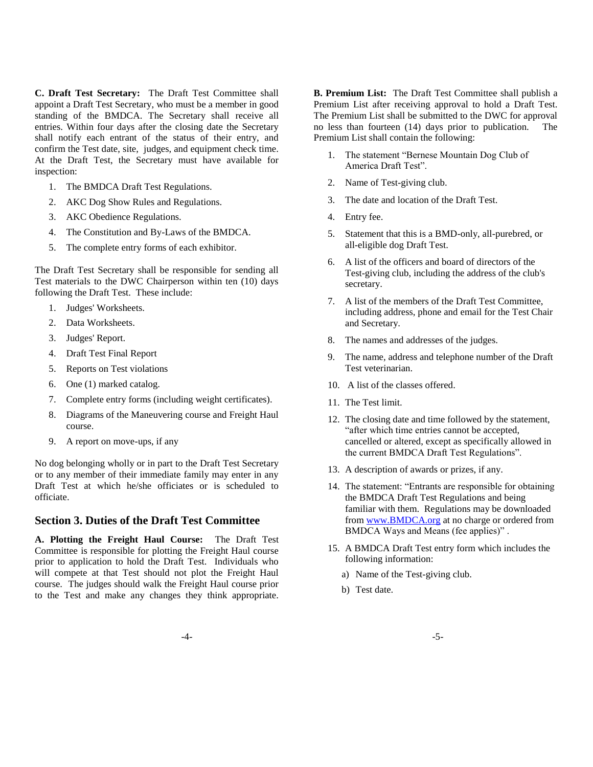**C. Draft Test Secretary:** The Draft Test Committee shall appoint a Draft Test Secretary, who must be a member in good standing of the BMDCA. The Secretary shall receive all entries. Within four days after the closing date the Secretary shall notify each entrant of the status of their entry, and confirm the Test date, site, judges, and equipment check time. At the Draft Test, the Secretary must have available for inspection:

- 1. The BMDCA Draft Test Regulations.
- 2. AKC Dog Show Rules and Regulations.
- 3. AKC Obedience Regulations.
- 4. The Constitution and By-Laws of the BMDCA.
- 5. The complete entry forms of each exhibitor.

The Draft Test Secretary shall be responsible for sending all Test materials to the DWC Chairperson within ten (10) days following the Draft Test. These include:

- 1. Judges' Worksheets.
- 2. Data Worksheets.
- 3. Judges' Report.
- 4. Draft Test Final Report
- 5. Reports on Test violations
- 6. One (1) marked catalog.
- 7. Complete entry forms (including weight certificates).
- 8. Diagrams of the Maneuvering course and Freight Haul course.
- 9. A report on move-ups, if any

No dog belonging wholly or in part to the Draft Test Secretary or to any member of their immediate family may enter in any Draft Test at which he/she officiates or is scheduled to officiate.

### **Section 3. Duties of the Draft Test Committee**

**A. Plotting the Freight Haul Course:** The Draft Test Committee is responsible for plotting the Freight Haul course prior to application to hold the Draft Test. Individuals who will compete at that Test should not plot the Freight Haul course. The judges should walk the Freight Haul course prior to the Test and make any changes they think appropriate.

**B. Premium List:** The Draft Test Committee shall publish a Premium List after receiving approval to hold a Draft Test. The Premium List shall be submitted to the DWC for approval no less than fourteen (14) days prior to publication. The Premium List shall contain the following:

- 1. The statement "Bernese Mountain Dog Club of America Draft Test".
- 2. Name of Test-giving club.
- 3. The date and location of the Draft Test.
- 4. Entry fee.
- 5. Statement that this is a BMD-only, all-purebred, or all-eligible dog Draft Test.
- 6. A list of the officers and board of directors of the Test-giving club, including the address of the club's secretary.
- 7. A list of the members of the Draft Test Committee, including address, phone and email for the Test Chair and Secretary.
- 8. The names and addresses of the judges.
- 9. The name, address and telephone number of the Draft Test veterinarian.
- 10. A list of the classes offered.
- 11. The Test limit.
- 12. The closing date and time followed by the statement, "after which time entries cannot be accepted, cancelled or altered, except as specifically allowed in the current BMDCA Draft Test Regulations".
- 13. A description of awards or prizes, if any.
- 14. The statement: "Entrants are responsible for obtaining the BMDCA Draft Test Regulations and being familiar with them. Regulations may be downloaded from www.BMDCA.org at no charge or ordered from BMDCA Ways and Means (fee applies)" .
- 15. A BMDCA Draft Test entry form which includes the following information:
	- a) Name of the Test-giving club.
	- b) Test date.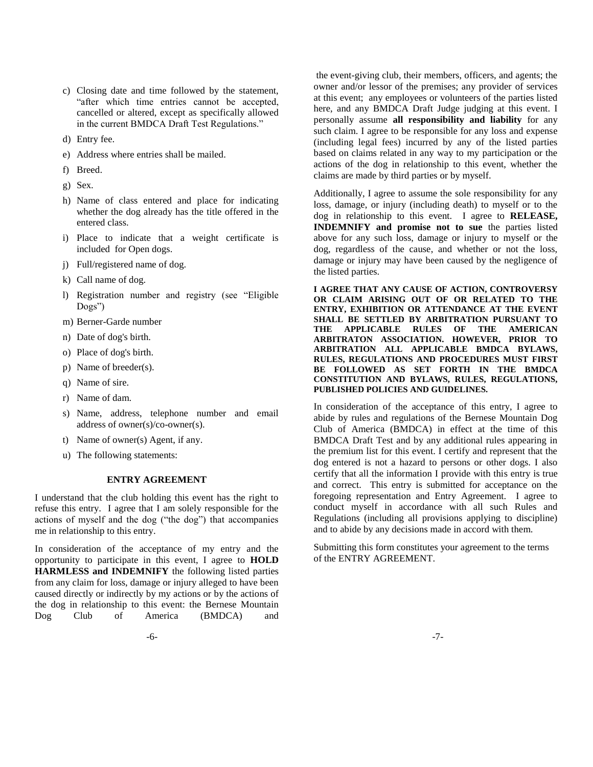- c) Closing date and time followed by the statement, "after which time entries cannot be accepted, cancelled or altered, except as specifically allowed in the current BMDCA Draft Test Regulations."
- d) Entry fee.
- e) Address where entries shall be mailed.
- f) Breed.
- g) Sex.
- h) Name of class entered and place for indicating whether the dog already has the title offered in the entered class.
- i) Place to indicate that a weight certificate is included for Open dogs.
- j) Full/registered name of dog.
- k) Call name of dog.
- l) Registration number and registry (see "Eligible Dogs")
- m) Berner-Garde number
- n) Date of dog's birth.
- o) Place of dog's birth.
- p) Name of breeder(s).
- q) Name of sire.
- r) Name of dam.
- s) Name, address, telephone number and email address of owner(s)/co-owner(s).
- t) Name of owner(s) Agent, if any.
- u) The following statements:

### **ENTRY AGREEMENT**

I understand that the club holding this event has the right to refuse this entry. I agree that I am solely responsible for the actions of myself and the dog ("the dog") that accompanies me in relationship to this entry.

In consideration of the acceptance of my entry and the opportunity to participate in this event, I agree to **HOLD HARMLESS and INDEMNIFY** the following listed parties from any claim for loss, damage or injury alleged to have been caused directly or indirectly by my actions or by the actions of the dog in relationship to this event: the Bernese Mountain Dog Club of America (BMDCA) and

the event-giving club, their members, officers, and agents; the owner and/or lessor of the premises; any provider of services at this event; any employees or volunteers of the parties listed here, and any BMDCA Draft Judge judging at this event. I personally assume **all responsibility and liability** for any such claim. I agree to be responsible for any loss and expense (including legal fees) incurred by any of the listed parties based on claims related in any way to my participation or the actions of the dog in relationship to this event, whether the claims are made by third parties or by myself.

Additionally, I agree to assume the sole responsibility for any loss, damage, or injury (including death) to myself or to the dog in relationship to this event. I agree to **RELEASE, INDEMNIFY and promise not to sue** the parties listed above for any such loss, damage or injury to myself or the dog, regardless of the cause, and whether or not the loss, damage or injury may have been caused by the negligence of the listed parties.

**I AGREE THAT ANY CAUSE OF ACTION, CONTROVERSY OR CLAIM ARISING OUT OF OR RELATED TO THE ENTRY, EXHIBITION OR ATTENDANCE AT THE EVENT SHALL BE SETTLED BY ARBITRATION PURSUANT TO THE APPLICABLE RULES OF THE AMERICAN ARBITRATON ASSOCIATION. HOWEVER, PRIOR TO ARBITRATION ALL APPLICABLE BMDCA BYLAWS, RULES, REGULATIONS AND PROCEDURES MUST FIRST BE FOLLOWED AS SET FORTH IN THE BMDCA CONSTITUTION AND BYLAWS, RULES, REGULATIONS, PUBLISHED POLICIES AND GUIDELINES.**

In consideration of the acceptance of this entry, I agree to abide by rules and regulations of the Bernese Mountain Dog Club of America (BMDCA) in effect at the time of this BMDCA Draft Test and by any additional rules appearing in the premium list for this event. I certify and represent that the dog entered is not a hazard to persons or other dogs. I also certify that all the information I provide with this entry is true and correct. This entry is submitted for acceptance on the foregoing representation and Entry Agreement. I agree to conduct myself in accordance with all such Rules and Regulations (including all provisions applying to discipline) and to abide by any decisions made in accord with them.

Submitting this form constitutes your agreement to the terms of the ENTRY AGREEMENT.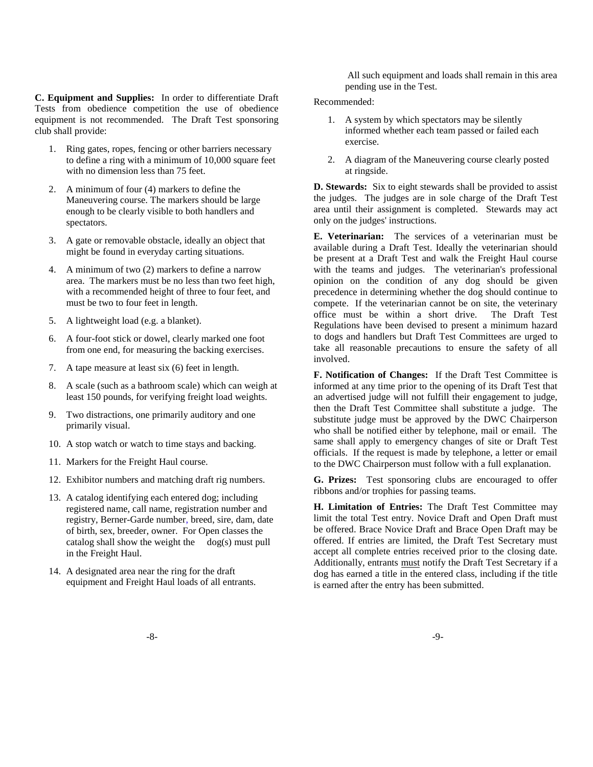**C. Equipment and Supplies:** In order to differentiate Draft Tests from obedience competition the use of obedience equipment is not recommended. The Draft Test sponsoring club shall provide:

- 1. Ring gates, ropes, fencing or other barriers necessary to define a ring with a minimum of 10,000 square feet with no dimension less than 75 feet.
- 2. A minimum of four (4) markers to define the Maneuvering course. The markers should be large enough to be clearly visible to both handlers and spectators.
- 3. A gate or removable obstacle, ideally an object that might be found in everyday carting situations.
- 4. A minimum of two (2) markers to define a narrow area. The markers must be no less than two feet high, with a recommended height of three to four feet, and must be two to four feet in length.
- 5. A lightweight load (e.g. a blanket).
- 6. A four-foot stick or dowel, clearly marked one foot from one end, for measuring the backing exercises.
- 7. A tape measure at least six (6) feet in length.
- 8. A scale (such as a bathroom scale) which can weigh at least 150 pounds, for verifying freight load weights.
- 9. Two distractions, one primarily auditory and one primarily visual.
- 10. A stop watch or watch to time stays and backing.
- 11. Markers for the Freight Haul course.
- 12. Exhibitor numbers and matching draft rig numbers.
- 13. A catalog identifying each entered dog; including registered name, call name, registration number and registry, Berner-Garde number, breed, sire, dam, date of birth, sex, breeder, owner. For Open classes the catalog shall show the weight the dog(s) must pull in the Freight Haul.
- 14. A designated area near the ring for the draft equipment and Freight Haul loads of all entrants.

All such equipment and loads shall remain in this area pending use in the Test.

Recommended:

- 1. A system by which spectators may be silently informed whether each team passed or failed each exercise.
- 2. A diagram of the Maneuvering course clearly posted at ringside.

**D. Stewards:** Six to eight stewards shall be provided to assist the judges. The judges are in sole charge of the Draft Test area until their assignment is completed. Stewards may act only on the judges' instructions.

**E. Veterinarian:** The services of a veterinarian must be available during a Draft Test. Ideally the veterinarian should be present at a Draft Test and walk the Freight Haul course with the teams and judges. The veterinarian's professional opinion on the condition of any dog should be given precedence in determining whether the dog should continue to compete. If the veterinarian cannot be on site, the veterinary office must be within a short drive. The Draft Test Regulations have been devised to present a minimum hazard to dogs and handlers but Draft Test Committees are urged to take all reasonable precautions to ensure the safety of all involved.

**F. Notification of Changes:** If the Draft Test Committee is informed at any time prior to the opening of its Draft Test that an advertised judge will not fulfill their engagement to judge, then the Draft Test Committee shall substitute a judge. The substitute judge must be approved by the DWC Chairperson who shall be notified either by telephone, mail or email. The same shall apply to emergency changes of site or Draft Test officials. If the request is made by telephone, a letter or email to the DWC Chairperson must follow with a full explanation.

**G. Prizes:** Test sponsoring clubs are encouraged to offer ribbons and/or trophies for passing teams.

**H. Limitation of Entries:** The Draft Test Committee may limit the total Test entry. Novice Draft and Open Draft must be offered. Brace Novice Draft and Brace Open Draft may be offered. If entries are limited, the Draft Test Secretary must accept all complete entries received prior to the closing date. Additionally, entrants must notify the Draft Test Secretary if a dog has earned a title in the entered class, including if the title is earned after the entry has been submitted.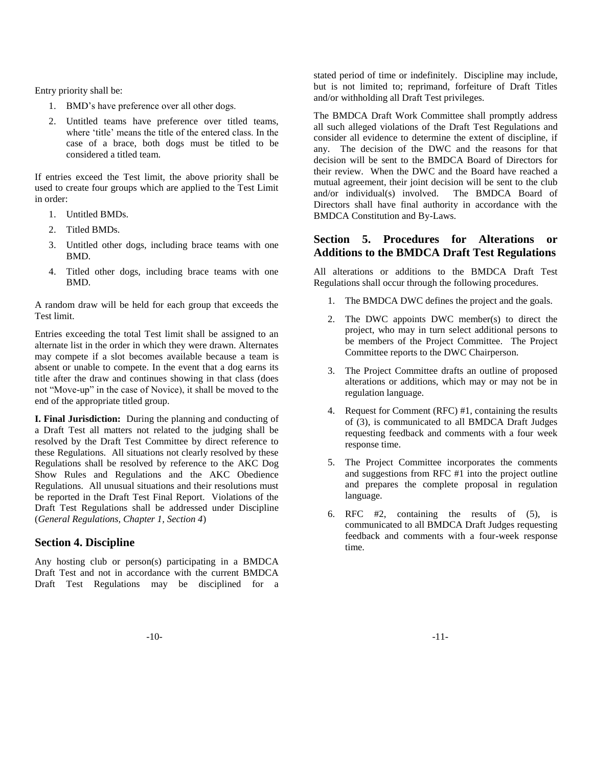Entry priority shall be:

- 1. BMD"s have preference over all other dogs.
- 2. Untitled teams have preference over titled teams, where 'title' means the title of the entered class. In the case of a brace, both dogs must be titled to be considered a titled team.

If entries exceed the Test limit, the above priority shall be used to create four groups which are applied to the Test Limit in order:

- 1. Untitled BMDs.
- 2. Titled BMDs.
- 3. Untitled other dogs, including brace teams with one BMD.
- 4. Titled other dogs, including brace teams with one BMD.

A random draw will be held for each group that exceeds the Test limit.

Entries exceeding the total Test limit shall be assigned to an alternate list in the order in which they were drawn. Alternates may compete if a slot becomes available because a team is absent or unable to compete. In the event that a dog earns its title after the draw and continues showing in that class (does not "Move-up" in the case of Novice), it shall be moved to the end of the appropriate titled group.

**I. Final Jurisdiction:** During the planning and conducting of a Draft Test all matters not related to the judging shall be resolved by the Draft Test Committee by direct reference to these Regulations. All situations not clearly resolved by these Regulations shall be resolved by reference to the AKC Dog Show Rules and Regulations and the AKC Obedience Regulations. All unusual situations and their resolutions must be reported in the Draft Test Final Report. Violations of the Draft Test Regulations shall be addressed under Discipline (*General Regulations, Chapter 1, Section 4*)

# **Section 4. Discipline**

Any hosting club or person(s) participating in a BMDCA Draft Test and not in accordance with the current BMDCA Draft Test Regulations may be disciplined for a stated period of time or indefinitely. Discipline may include, but is not limited to; reprimand, forfeiture of Draft Titles and/or withholding all Draft Test privileges.

The BMDCA Draft Work Committee shall promptly address all such alleged violations of the Draft Test Regulations and consider all evidence to determine the extent of discipline, if any. The decision of the DWC and the reasons for that decision will be sent to the BMDCA Board of Directors for their review. When the DWC and the Board have reached a mutual agreement, their joint decision will be sent to the club and/or individual(s) involved. The BMDCA Board of Directors shall have final authority in accordance with the BMDCA Constitution and By-Laws.

# **Section 5. Procedures for Alterations or Additions to the BMDCA Draft Test Regulations**

All alterations or additions to the BMDCA Draft Test Regulations shall occur through the following procedures.

- 1. The BMDCA DWC defines the project and the goals.
- 2. The DWC appoints DWC member(s) to direct the project, who may in turn select additional persons to be members of the Project Committee. The Project Committee reports to the DWC Chairperson.
- 3. The Project Committee drafts an outline of proposed alterations or additions, which may or may not be in regulation language.
- 4. Request for Comment (RFC) #1, containing the results of (3), is communicated to all BMDCA Draft Judges requesting feedback and comments with a four week response time.
- 5. The Project Committee incorporates the comments and suggestions from RFC #1 into the project outline and prepares the complete proposal in regulation language.
- 6. RFC #2, containing the results of (5), is communicated to all BMDCA Draft Judges requesting feedback and comments with a four-week response time.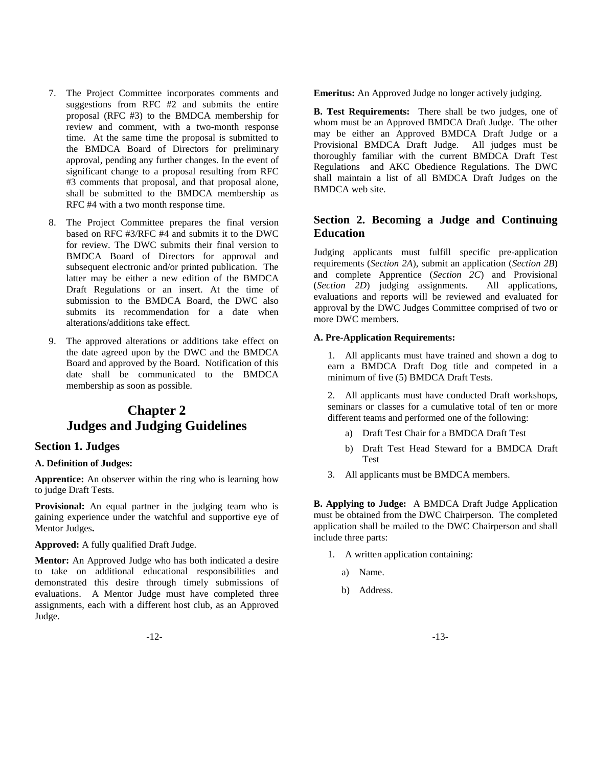- 7. The Project Committee incorporates comments and suggestions from RFC #2 and submits the entire proposal (RFC #3) to the BMDCA membership for review and comment, with a two-month response time. At the same time the proposal is submitted to the BMDCA Board of Directors for preliminary approval, pending any further changes. In the event of significant change to a proposal resulting from RFC #3 comments that proposal, and that proposal alone, shall be submitted to the BMDCA membership as RFC #4 with a two month response time.
- 8. The Project Committee prepares the final version based on RFC #3/RFC #4 and submits it to the DWC for review. The DWC submits their final version to BMDCA Board of Directors for approval and subsequent electronic and/or printed publication. The latter may be either a new edition of the BMDCA Draft Regulations or an insert. At the time of submission to the BMDCA Board, the DWC also submits its recommendation for a date when alterations/additions take effect.
- 9. The approved alterations or additions take effect on the date agreed upon by the DWC and the BMDCA Board and approved by the Board. Notification of this date shall be communicated to the BMDCA membership as soon as possible.

# **Chapter 2 Judges and Judging Guidelines**

### **Section 1. Judges**

### **A. Definition of Judges:**

**Apprentice:** An observer within the ring who is learning how to judge Draft Tests.

**Provisional:** An equal partner in the judging team who is gaining experience under the watchful and supportive eye of Mentor Judges**.**

**Approved:** A fully qualified Draft Judge.

**Mentor:** An Approved Judge who has both indicated a desire to take on additional educational responsibilities and demonstrated this desire through timely submissions of evaluations. A Mentor Judge must have completed three assignments, each with a different host club, as an Approved Judge.

**Emeritus:** An Approved Judge no longer actively judging.

**B. Test Requirements:** There shall be two judges, one of whom must be an Approved BMDCA Draft Judge. The other may be either an Approved BMDCA Draft Judge or a Provisional BMDCA Draft Judge. All judges must be thoroughly familiar with the current BMDCA Draft Test Regulations and AKC Obedience Regulations. The DWC shall maintain a list of all BMDCA Draft Judges on the BMDCA web site.

# **Section 2. Becoming a Judge and Continuing Education**

Judging applicants must fulfill specific pre-application requirements (*Section 2A*), submit an application (*Section 2B*) and complete Apprentice (*Section 2C*) and Provisional (*Section 2D*) judging assignments. All applications, evaluations and reports will be reviewed and evaluated for approval by the DWC Judges Committee comprised of two or more DWC members.

### **A. Pre-Application Requirements:**

1. All applicants must have trained and shown a dog to earn a BMDCA Draft Dog title and competed in a minimum of five (5) BMDCA Draft Tests.

2. All applicants must have conducted Draft workshops, seminars or classes for a cumulative total of ten or more different teams and performed one of the following:

- a) Draft Test Chair for a BMDCA Draft Test
- b) Draft Test Head Steward for a BMDCA Draft Test
- 3. All applicants must be BMDCA members.

**B. Applying to Judge:** A BMDCA Draft Judge Application must be obtained from the DWC Chairperson. The completed application shall be mailed to the DWC Chairperson and shall include three parts:

- 1. A written application containing:
	- a) Name.
	- b) Address.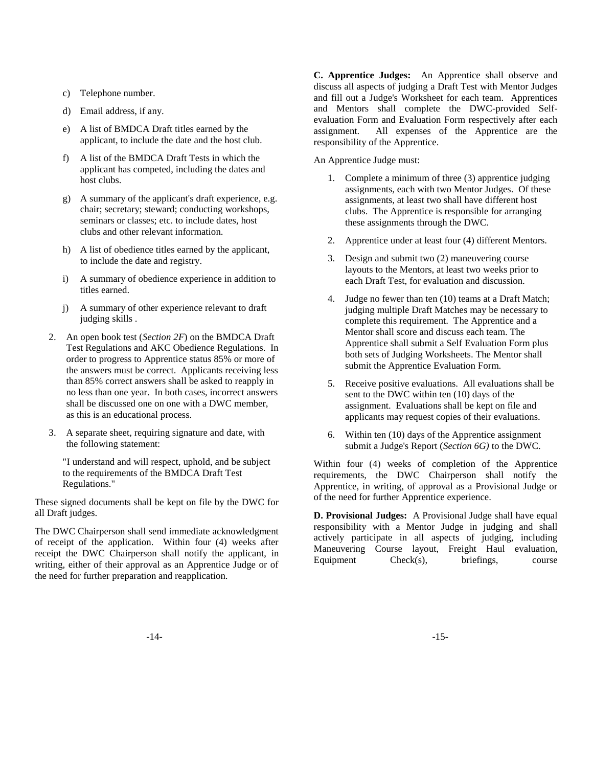- c) Telephone number.
- d) Email address, if any.
- e) A list of BMDCA Draft titles earned by the applicant, to include the date and the host club.
- f) A list of the BMDCA Draft Tests in which the applicant has competed, including the dates and host clubs.
- g) A summary of the applicant's draft experience, e.g. chair; secretary; steward; conducting workshops, seminars or classes; etc. to include dates, host clubs and other relevant information.
- h) A list of obedience titles earned by the applicant, to include the date and registry.
- i) A summary of obedience experience in addition to titles earned.
- j) A summary of other experience relevant to draft judging skills .
- 2. An open book test (*Section 2F*) on the BMDCA Draft Test Regulations and AKC Obedience Regulations. In order to progress to Apprentice status 85% or more of the answers must be correct. Applicants receiving less than 85% correct answers shall be asked to reapply in no less than one year. In both cases, incorrect answers shall be discussed one on one with a DWC member, as this is an educational process.
- 3. A separate sheet, requiring signature and date, with the following statement:

"I understand and will respect, uphold, and be subject to the requirements of the BMDCA Draft Test Regulations."

These signed documents shall be kept on file by the DWC for all Draft judges.

The DWC Chairperson shall send immediate acknowledgment of receipt of the application. Within four (4) weeks after receipt the DWC Chairperson shall notify the applicant, in writing, either of their approval as an Apprentice Judge or of the need for further preparation and reapplication.

**C. Apprentice Judges:** An Apprentice shall observe and discuss all aspects of judging a Draft Test with Mentor Judges and fill out a Judge's Worksheet for each team. Apprentices and Mentors shall complete the DWC-provided Selfevaluation Form and Evaluation Form respectively after each assignment. All expenses of the Apprentice are the responsibility of the Apprentice.

An Apprentice Judge must:

- 1. Complete a minimum of three (3) apprentice judging assignments, each with two Mentor Judges. Of these assignments, at least two shall have different host clubs. The Apprentice is responsible for arranging these assignments through the DWC.
- 2. Apprentice under at least four (4) different Mentors.
- 3. Design and submit two (2) maneuvering course layouts to the Mentors, at least two weeks prior to each Draft Test, for evaluation and discussion.
- 4. Judge no fewer than ten (10) teams at a Draft Match; judging multiple Draft Matches may be necessary to complete this requirement. The Apprentice and a Mentor shall score and discuss each team. The Apprentice shall submit a Self Evaluation Form plus both sets of Judging Worksheets. The Mentor shall submit the Apprentice Evaluation Form.
- 5. Receive positive evaluations. All evaluations shall be sent to the DWC within ten (10) days of the assignment. Evaluations shall be kept on file and applicants may request copies of their evaluations.
- 6. Within ten (10) days of the Apprentice assignment submit a Judge's Report (*Section 6G)* to the DWC.

Within four (4) weeks of completion of the Apprentice requirements, the DWC Chairperson shall notify the Apprentice, in writing, of approval as a Provisional Judge or of the need for further Apprentice experience.

**D. Provisional Judges:** A Provisional Judge shall have equal responsibility with a Mentor Judge in judging and shall actively participate in all aspects of judging, including Maneuvering Course layout, Freight Haul evaluation, Equipment Check(s), briefings, course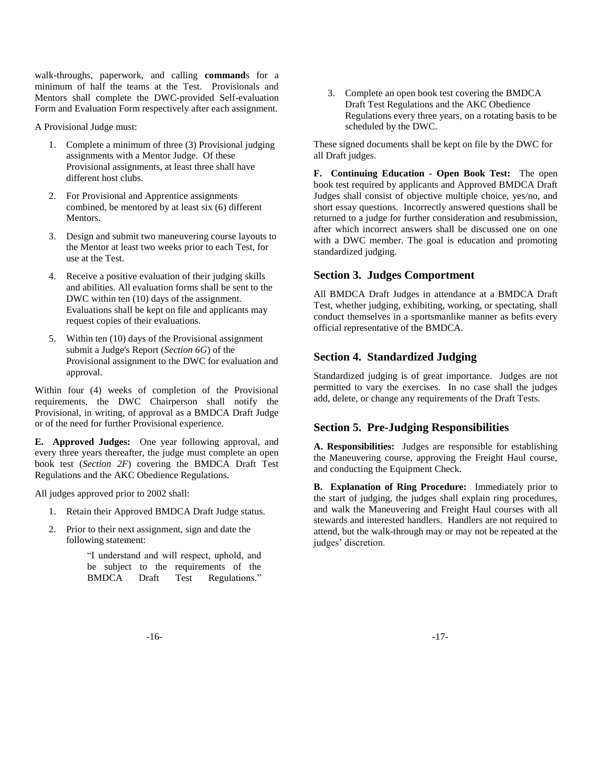walk-throughs, paperwork, and calling **command**s for a minimum of half the teams at the Test. Provisionals and Mentors shall complete the DWC-provided Self-evaluation Form and Evaluation Form respectively after each assignment.

A Provisional Judge must:

- 1. Complete a minimum of three (3) Provisional judging assignments with a Mentor Judge. Of these Provisional assignments, at least three shall have different host clubs.
- 2. For Provisional and Apprentice assignments combined, be mentored by at least six (6) different Mentors.
- 3. Design and submit two maneuvering course layouts to the Mentor at least two weeks prior to each Test, for use at the Test.
- 4. Receive a positive evaluation of their judging skills and abilities. All evaluation forms shall be sent to the DWC within ten (10) days of the assignment. Evaluations shall be kept on file and applicants may request copies of their evaluations.
- 5. Within ten (10) days of the Provisional assignment submit a Judge's Report (*Section 6G*) of the Provisional assignment to the DWC for evaluation and approval.

Within four (4) weeks of completion of the Provisional requirements, the DWC Chairperson shall notify the Provisional, in writing, of approval as a BMDCA Draft Judge or of the need for further Provisional experience.

**E. Approved Judges:** One year following approval, and every three years thereafter, the judge must complete an open book test (*Section 2F*) covering the BMDCA Draft Test Regulations and the AKC Obedience Regulations.

All judges approved prior to 2002 shall:

- 1. Retain their Approved BMDCA Draft Judge status.
- 2. Prior to their next assignment, sign and date the following statement:

"I understand and will respect, uphold, and be subject to the requirements of the BMDCA Draft Test Regulations."

3. Complete an open book test covering the BMDCA Draft Test Regulations and the AKC Obedience Regulations every three years, on a rotating basis to be scheduled by the DWC.

These signed documents shall be kept on file by the DWC for all Draft judges.

**F. Continuing Education - Open Book Test:** The open book test required by applicants and Approved BMDCA Draft Judges shall consist of objective multiple choice, yes/no, and short essay questions. Incorrectly answered questions shall be returned to a judge for further consideration and resubmission, after which incorrect answers shall be discussed one on one with a DWC member. The goal is education and promoting standardized judging.

# **Section 3. Judges Comportment**

All BMDCA Draft Judges in attendance at a BMDCA Draft Test, whether judging, exhibiting, working, or spectating, shall conduct themselves in a sportsmanlike manner as befits every official representative of the BMDCA.

# **Section 4. Standardized Judging**

Standardized judging is of great importance. Judges are not permitted to vary the exercises. In no case shall the judges add, delete, or change any requirements of the Draft Tests.

# **Section 5. Pre-Judging Responsibilities**

**A. Responsibilities:** Judges are responsible for establishing the Maneuvering course, approving the Freight Haul course, and conducting the Equipment Check.

**B. Explanation of Ring Procedure:** Immediately prior to the start of judging, the judges shall explain ring procedures, and walk the Maneuvering and Freight Haul courses with all stewards and interested handlers. Handlers are not required to attend, but the walk-through may or may not be repeated at the judges' discretion.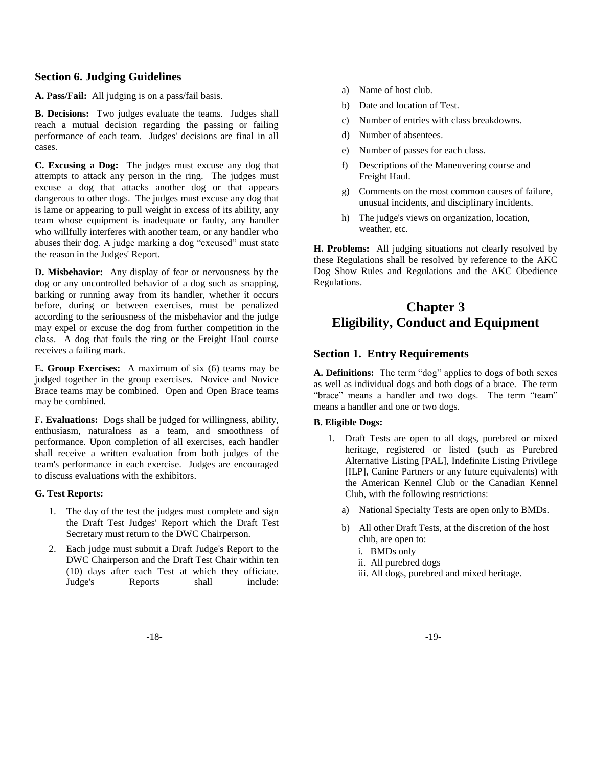### **Section 6. Judging Guidelines**

**A. Pass/Fail:** All judging is on a pass/fail basis.

**B. Decisions:** Two judges evaluate the teams. Judges shall reach a mutual decision regarding the passing or failing performance of each team. Judges' decisions are final in all cases.

**C. Excusing a Dog:** The judges must excuse any dog that attempts to attack any person in the ring. The judges must excuse a dog that attacks another dog or that appears dangerous to other dogs. The judges must excuse any dog that is lame or appearing to pull weight in excess of its ability, any team whose equipment is inadequate or faulty, any handler who willfully interferes with another team, or any handler who abuses their dog. A judge marking a dog "excused" must state the reason in the Judges' Report.

**D. Misbehavior:** Any display of fear or nervousness by the dog or any uncontrolled behavior of a dog such as snapping, barking or running away from its handler, whether it occurs before, during or between exercises, must be penalized according to the seriousness of the misbehavior and the judge may expel or excuse the dog from further competition in the class. A dog that fouls the ring or the Freight Haul course receives a failing mark.

**E. Group Exercises:** A maximum of six (6) teams may be judged together in the group exercises. Novice and Novice Brace teams may be combined. Open and Open Brace teams may be combined.

**F. Evaluations:** Dogs shall be judged for willingness, ability, enthusiasm, naturalness as a team, and smoothness of performance. Upon completion of all exercises, each handler shall receive a written evaluation from both judges of the team's performance in each exercise. Judges are encouraged to discuss evaluations with the exhibitors.

#### **G. Test Reports:**

- 1. The day of the test the judges must complete and sign the Draft Test Judges' Report which the Draft Test Secretary must return to the DWC Chairperson.
- 2. Each judge must submit a Draft Judge's Report to the DWC Chairperson and the Draft Test Chair within ten (10) days after each Test at which they officiate. Judge's Reports shall include:
- a) Name of host club.
- b) Date and location of Test.
- c) Number of entries with class breakdowns.
- d) Number of absentees.
- e) Number of passes for each class.
- f) Descriptions of the Maneuvering course and Freight Haul.
- g) Comments on the most common causes of failure, unusual incidents, and disciplinary incidents.
- h) The judge's views on organization, location, weather, etc.

**H. Problems:** All judging situations not clearly resolved by these Regulations shall be resolved by reference to the AKC Dog Show Rules and Regulations and the AKC Obedience Regulations.

# **Chapter 3 Eligibility, Conduct and Equipment**

# **Section 1. Entry Requirements**

**A. Definitions:** The term "dog" applies to dogs of both sexes as well as individual dogs and both dogs of a brace. The term "brace" means a handler and two dogs. The term "team" means a handler and one or two dogs.

### **B. Eligible Dogs:**

- 1. Draft Tests are open to all dogs, purebred or mixed heritage, registered or listed (such as Purebred Alternative Listing [PAL], Indefinite Listing Privilege [ILP], Canine Partners or any future equivalents) with the American Kennel Club or the Canadian Kennel Club, with the following restrictions:
	- a) National Specialty Tests are open only to BMDs.
	- b) All other Draft Tests, at the discretion of the host club, are open to:
		- i. BMDs only
		- ii. All purebred dogs
		- iii. All dogs, purebred and mixed heritage.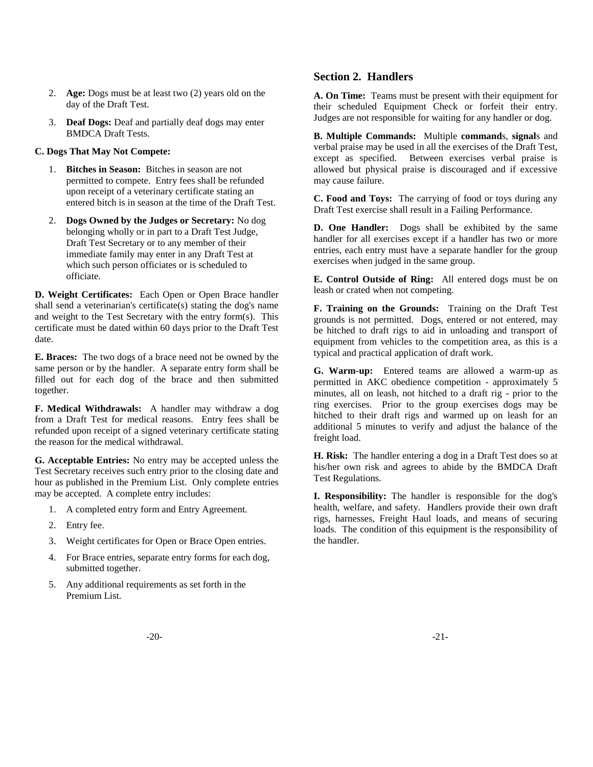- 2. **Age:** Dogs must be at least two (2) years old on the day of the Draft Test.
- 3. **Deaf Dogs:** Deaf and partially deaf dogs may enter BMDCA Draft Tests.

### **C. Dogs That May Not Compete:**

- 1. **Bitches in Season:** Bitches in season are not permitted to compete. Entry fees shall be refunded upon receipt of a veterinary certificate stating an entered bitch is in season at the time of the Draft Test.
- 2. **Dogs Owned by the Judges or Secretary:** No dog belonging wholly or in part to a Draft Test Judge, Draft Test Secretary or to any member of their immediate family may enter in any Draft Test at which such person officiates or is scheduled to officiate.

**D. Weight Certificates:** Each Open or Open Brace handler shall send a veterinarian's certificate(s) stating the dog's name and weight to the Test Secretary with the entry form(s). This certificate must be dated within 60 days prior to the Draft Test date.

**E. Braces:** The two dogs of a brace need not be owned by the same person or by the handler. A separate entry form shall be filled out for each dog of the brace and then submitted together.

**F. Medical Withdrawals:** A handler may withdraw a dog from a Draft Test for medical reasons. Entry fees shall be refunded upon receipt of a signed veterinary certificate stating the reason for the medical withdrawal.

**G. Acceptable Entries:** No entry may be accepted unless the Test Secretary receives such entry prior to the closing date and hour as published in the Premium List. Only complete entries may be accepted. A complete entry includes:

- 1. A completed entry form and Entry Agreement.
- 2. Entry fee.
- 3. Weight certificates for Open or Brace Open entries.
- 4. For Brace entries, separate entry forms for each dog, submitted together.
- 5. Any additional requirements as set forth in the Premium List.

# **Section 2. Handlers**

**A. On Time:** Teams must be present with their equipment for their scheduled Equipment Check or forfeit their entry. Judges are not responsible for waiting for any handler or dog.

**B. Multiple Commands:** Multiple **command**s, **signal**s and verbal praise may be used in all the exercises of the Draft Test, except as specified. Between exercises verbal praise is allowed but physical praise is discouraged and if excessive may cause failure.

**C. Food and Toys:** The carrying of food or toys during any Draft Test exercise shall result in a Failing Performance.

**D. One Handler:** Dogs shall be exhibited by the same handler for all exercises except if a handler has two or more entries, each entry must have a separate handler for the group exercises when judged in the same group.

**E. Control Outside of Ring:** All entered dogs must be on leash or crated when not competing.

**F. Training on the Grounds:** Training on the Draft Test grounds is not permitted. Dogs, entered or not entered, may be hitched to draft rigs to aid in unloading and transport of equipment from vehicles to the competition area, as this is a typical and practical application of draft work.

**G. Warm-up:** Entered teams are allowed a warm-up as permitted in AKC obedience competition - approximately 5 minutes, all on leash, not hitched to a draft rig - prior to the ring exercises. Prior to the group exercises dogs may be hitched to their draft rigs and warmed up on leash for an additional 5 minutes to verify and adjust the balance of the freight load.

**H. Risk:** The handler entering a dog in a Draft Test does so at his/her own risk and agrees to abide by the BMDCA Draft Test Regulations.

**I. Responsibility:** The handler is responsible for the dog's health, welfare, and safety. Handlers provide their own draft rigs, harnesses, Freight Haul loads, and means of securing loads. The condition of this equipment is the responsibility of the handler.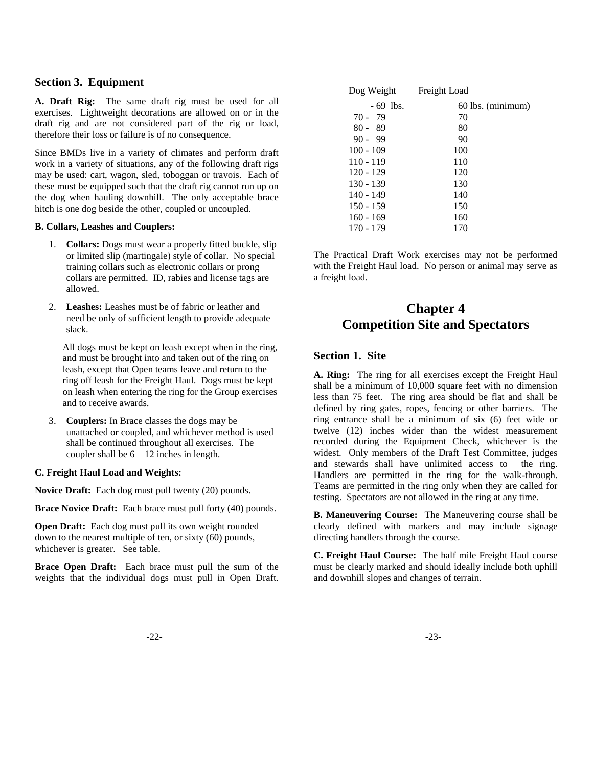### **Section 3. Equipment**

**A. Draft Rig:** The same draft rig must be used for all exercises. Lightweight decorations are allowed on or in the draft rig and are not considered part of the rig or load, therefore their loss or failure is of no consequence.

Since BMDs live in a variety of climates and perform draft work in a variety of situations, any of the following draft rigs may be used: cart, wagon, sled, toboggan or travois. Each of these must be equipped such that the draft rig cannot run up on the dog when hauling downhill. The only acceptable brace hitch is one dog beside the other, coupled or uncoupled.

#### **B. Collars, Leashes and Couplers:**

- 1. **Collars:** Dogs must wear a properly fitted buckle, slip or limited slip (martingale) style of collar. No special training collars such as electronic collars or prong collars are permitted. ID, rabies and license tags are allowed.
- 2. **Leashes:** Leashes must be of fabric or leather and need be only of sufficient length to provide adequate slack.

All dogs must be kept on leash except when in the ring, and must be brought into and taken out of the ring on leash, except that Open teams leave and return to the ring off leash for the Freight Haul. Dogs must be kept on leash when entering the ring for the Group exercises and to receive awards.

3. **Couplers:** In Brace classes the dogs may be unattached or coupled, and whichever method is used shall be continued throughout all exercises. The coupler shall be  $6 - 12$  inches in length.

#### **C. Freight Haul Load and Weights:**

**Novice Draft:** Each dog must pull twenty (20) pounds.

**Brace Novice Draft:** Each brace must pull forty (40) pounds.

**Open Draft:** Each dog must pull its own weight rounded down to the nearest multiple of ten, or sixty (60) pounds, whichever is greater. See table.

**Brace Open Draft:** Each brace must pull the sum of the weights that the individual dogs must pull in Open Draft.

| Dog Weight  | Freight Load      |
|-------------|-------------------|
| $-69$ lbs.  | 60 lbs. (minimum) |
| $70 - 79$   | 70                |
| $80 - 89$   | 80                |
| $90 - 99$   | 90                |
| $100 - 109$ | 100               |
| $110 - 119$ | 110               |
| 120 - 129   | 120               |
| $130 - 139$ | 130               |
| 140 - 149   | 140               |
| $150 - 159$ | 150               |
| $160 - 169$ | 160               |
| 170 - 179   | 170               |

The Practical Draft Work exercises may not be performed with the Freight Haul load. No person or animal may serve as a freight load.

# **Chapter 4 Competition Site and Spectators**

### **Section 1. Site**

**A. Ring:** The ring for all exercises except the Freight Haul shall be a minimum of 10,000 square feet with no dimension less than 75 feet. The ring area should be flat and shall be defined by ring gates, ropes, fencing or other barriers. The ring entrance shall be a minimum of six (6) feet wide or twelve (12) inches wider than the widest measurement recorded during the Equipment Check, whichever is the widest. Only members of the Draft Test Committee, judges and stewards shall have unlimited access to the ring. Handlers are permitted in the ring for the walk-through. Teams are permitted in the ring only when they are called for testing. Spectators are not allowed in the ring at any time.

**B. Maneuvering Course:** The Maneuvering course shall be clearly defined with markers and may include signage directing handlers through the course.

**C. Freight Haul Course:** The half mile Freight Haul course must be clearly marked and should ideally include both uphill and downhill slopes and changes of terrain.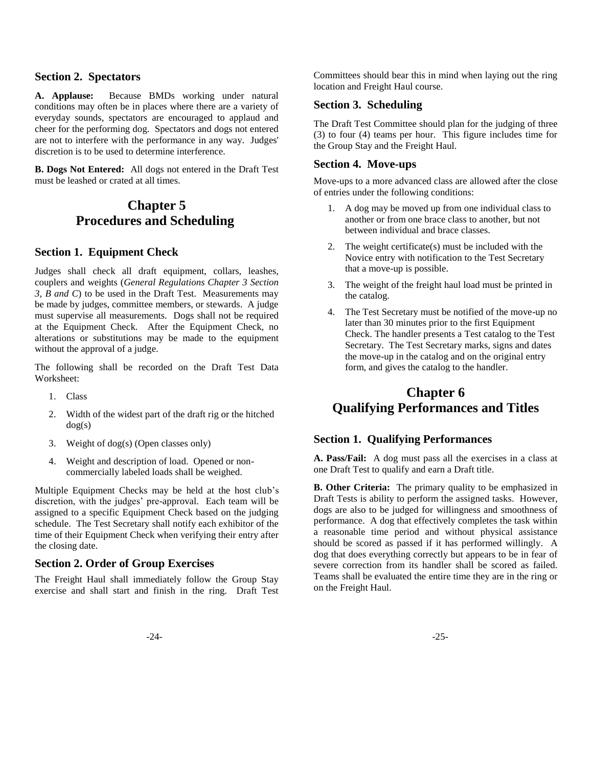### **Section 2. Spectators**

**A. Applause:** Because BMDs working under natural conditions may often be in places where there are a variety of everyday sounds, spectators are encouraged to applaud and cheer for the performing dog. Spectators and dogs not entered are not to interfere with the performance in any way. Judges' discretion is to be used to determine interference.

**B. Dogs Not Entered:** All dogs not entered in the Draft Test must be leashed or crated at all times.

# **Chapter 5 Procedures and Scheduling**

### **Section 1. Equipment Check**

Judges shall check all draft equipment, collars, leashes, couplers and weights (*General Regulations Chapter 3 Section 3, B and C*) to be used in the Draft Test. Measurements may be made by judges, committee members, or stewards. A judge must supervise all measurements. Dogs shall not be required at the Equipment Check. After the Equipment Check, no alterations or substitutions may be made to the equipment without the approval of a judge.

The following shall be recorded on the Draft Test Data Worksheet:

- 1. Class
- 2. Width of the widest part of the draft rig or the hitched dog(s)
- 3. Weight of dog(s) (Open classes only)
- 4. Weight and description of load. Opened or noncommercially labeled loads shall be weighed.

Multiple Equipment Checks may be held at the host club"s discretion, with the judges' pre-approval. Each team will be assigned to a specific Equipment Check based on the judging schedule. The Test Secretary shall notify each exhibitor of the time of their Equipment Check when verifying their entry after the closing date.

### **Section 2. Order of Group Exercises**

The Freight Haul shall immediately follow the Group Stay exercise and shall start and finish in the ring. Draft Test Committees should bear this in mind when laying out the ring location and Freight Haul course.

### **Section 3. Scheduling**

The Draft Test Committee should plan for the judging of three (3) to four (4) teams per hour. This figure includes time for the Group Stay and the Freight Haul.

### **Section 4. Move-ups**

Move-ups to a more advanced class are allowed after the close of entries under the following conditions:

- 1. A dog may be moved up from one individual class to another or from one brace class to another, but not between individual and brace classes.
- 2. The weight certificate(s) must be included with the Novice entry with notification to the Test Secretary that a move-up is possible.
- 3. The weight of the freight haul load must be printed in the catalog.
- 4. The Test Secretary must be notified of the move-up no later than 30 minutes prior to the first Equipment Check. The handler presents a Test catalog to the Test Secretary. The Test Secretary marks, signs and dates the move-up in the catalog and on the original entry form, and gives the catalog to the handler.

# **Chapter 6 Qualifying Performances and Titles**

# **Section 1. Qualifying Performances**

**A. Pass/Fail:** A dog must pass all the exercises in a class at one Draft Test to qualify and earn a Draft title.

**B. Other Criteria:** The primary quality to be emphasized in Draft Tests is ability to perform the assigned tasks. However, dogs are also to be judged for willingness and smoothness of performance. A dog that effectively completes the task within a reasonable time period and without physical assistance should be scored as passed if it has performed willingly. A dog that does everything correctly but appears to be in fear of severe correction from its handler shall be scored as failed. Teams shall be evaluated the entire time they are in the ring or on the Freight Haul.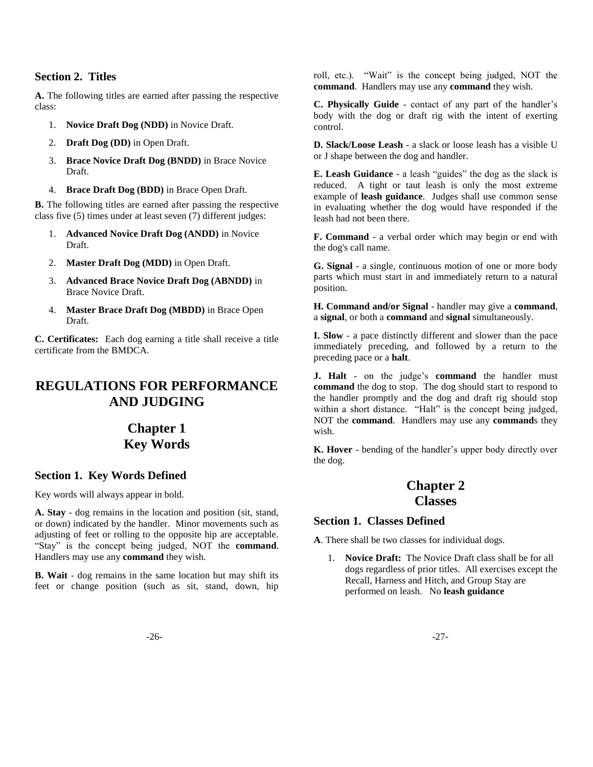# **Section 2. Titles**

**A.** The following titles are earned after passing the respective class:

- 1. **Novice Draft Dog (NDD)** in Novice Draft.
- 2. **Draft Dog (DD)** in Open Draft.
- 3. **Brace Novice Draft Dog (BNDD)** in Brace Novice Draft.
- 4. **Brace Draft Dog (BDD)** in Brace Open Draft.

**B.** The following titles are earned after passing the respective class five (5) times under at least seven (7) different judges:

- 1. **Advanced Novice Draft Dog (ANDD)** in Novice Draft.
- 2. **Master Draft Dog (MDD)** in Open Draft.
- 3. **Advanced Brace Novice Draft Dog (ABNDD)** in Brace Novice Draft.
- 4. **Master Brace Draft Dog (MBDD)** in Brace Open Draft.

**C. Certificates:** Each dog earning a title shall receive a title certificate from the BMDCA.

# **REGULATIONS FOR PERFORMANCE AND JUDGING**

# **Chapter 1 Key Words**

# **Section 1. Key Words Defined**

Key words will always appear in bold.

**A. Stay** - dog remains in the location and position (sit, stand, or down) indicated by the handler. Minor movements such as adjusting of feet or rolling to the opposite hip are acceptable. "Stay" is the concept being judged, NOT the **command**. Handlers may use any **command** they wish.

**B. Wait** - dog remains in the same location but may shift its feet or change position (such as sit, stand, down, hip roll, etc.). "Wait" is the concept being judged, NOT the **command**. Handlers may use any **command** they wish.

**C. Physically Guide** - contact of any part of the handler"s body with the dog or draft rig with the intent of exerting control.

**D. Slack/Loose Leash** - a slack or loose leash has a visible U or J shape between the dog and handler.

**E. Leash Guidance** - a leash "guides" the dog as the slack is reduced. A tight or taut leash is only the most extreme example of **leash guidance**. Judges shall use common sense in evaluating whether the dog would have responded if the leash had not been there.

**F. Command** - a verbal order which may begin or end with the dog's call name.

**G. Signal** - a single, continuous motion of one or more body parts which must start in and immediately return to a natural position.

**H. Command and/or Signal** - handler may give a **command**, a **signal**, or both a **command** and **signal** simultaneously.

**I. Slow** - a pace distinctly different and slower than the pace immediately preceding, and followed by a return to the preceding pace or a **halt**.

**J. Halt** - on the judge's **command** the handler must **command** the dog to stop. The dog should start to respond to the handler promptly and the dog and draft rig should stop within a short distance. "Halt" is the concept being judged, NOT the **command**. Handlers may use any **command**s they wish.

**K. Hover** - bending of the handler's upper body directly over the dog.

# **Chapter 2 Classes**

### **Section 1. Classes Defined**

**A**. There shall be two classes for individual dogs.

1. **Novice Draft:** The Novice Draft class shall be for all dogs regardless of prior titles. All exercises except the Recall, Harness and Hitch, and Group Stay are performed on leash. No **leash guidance**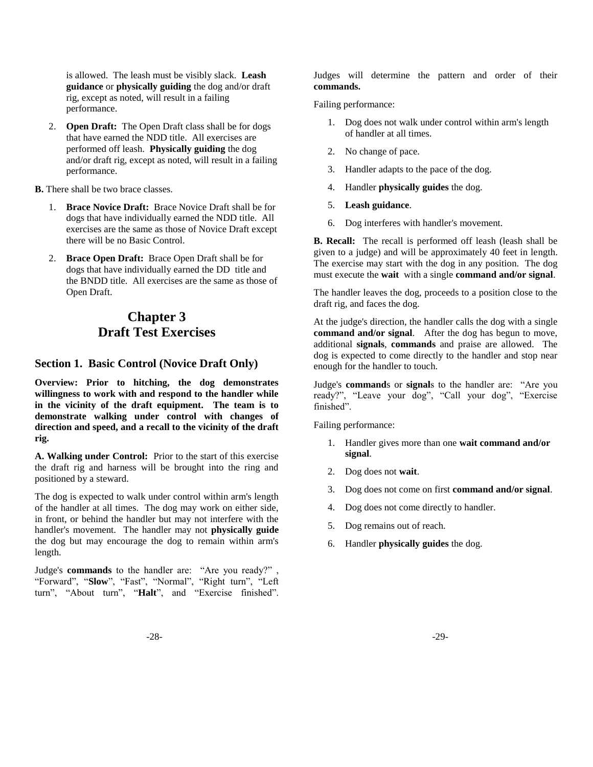is allowed. The leash must be visibly slack. **Leash guidance** or **physically guiding** the dog and/or draft rig, except as noted, will result in a failing performance.

2. **Open Draft:** The Open Draft class shall be for dogs that have earned the NDD title. All exercises are performed off leash. **Physically guiding** the dog and/or draft rig, except as noted, will result in a failing performance.

**B.** There shall be two brace classes.

- 1. **Brace Novice Draft:** Brace Novice Draft shall be for dogs that have individually earned the NDD title. All exercises are the same as those of Novice Draft except there will be no Basic Control.
- 2. **Brace Open Draft:** Brace Open Draft shall be for dogs that have individually earned the DD title and the BNDD title. All exercises are the same as those of Open Draft.

# **Chapter 3 Draft Test Exercises**

### **Section 1. Basic Control (Novice Draft Only)**

**Overview: Prior to hitching, the dog demonstrates willingness to work with and respond to the handler while in the vicinity of the draft equipment. The team is to demonstrate walking under control with changes of direction and speed, and a recall to the vicinity of the draft rig.**

**A. Walking under Control:** Prior to the start of this exercise the draft rig and harness will be brought into the ring and positioned by a steward.

The dog is expected to walk under control within arm's length of the handler at all times. The dog may work on either side, in front, or behind the handler but may not interfere with the handler's movement. The handler may not **physically guide** the dog but may encourage the dog to remain within arm's length.

Judge's **commands** to the handler are: "Are you ready?" , "Forward", "**Slow**", "Fast", "Normal", "Right turn", "Left turn", "About turn", "**Halt**", and "Exercise finished". Judges will determine the pattern and order of their **commands.**

Failing performance:

- 1. Dog does not walk under control within arm's length of handler at all times.
- 2. No change of pace.
- 3. Handler adapts to the pace of the dog.
- 4. Handler **physically guides** the dog.
- 5. **Leash guidance**.
- 6. Dog interferes with handler's movement.

**B. Recall:** The recall is performed off leash (leash shall be given to a judge) and will be approximately 40 feet in length. The exercise may start with the dog in any position. The dog must execute the **wait** with a single **command and/or signal**.

The handler leaves the dog, proceeds to a position close to the draft rig, and faces the dog.

At the judge's direction, the handler calls the dog with a single **command and/or signal**. After the dog has begun to move, additional **signals**, **commands** and praise are allowed. The dog is expected to come directly to the handler and stop near enough for the handler to touch.

Judge's **command**s or **signal**s to the handler are: "Are you ready?", "Leave your dog", "Call your dog", "Exercise finished".

Failing performance:

- 1. Handler gives more than one **wait command and/or signal**.
- 2. Dog does not **wait**.
- 3. Dog does not come on first **command and/or signal**.
- 4. Dog does not come directly to handler.
- 5. Dog remains out of reach.
- 6. Handler **physically guides** the dog.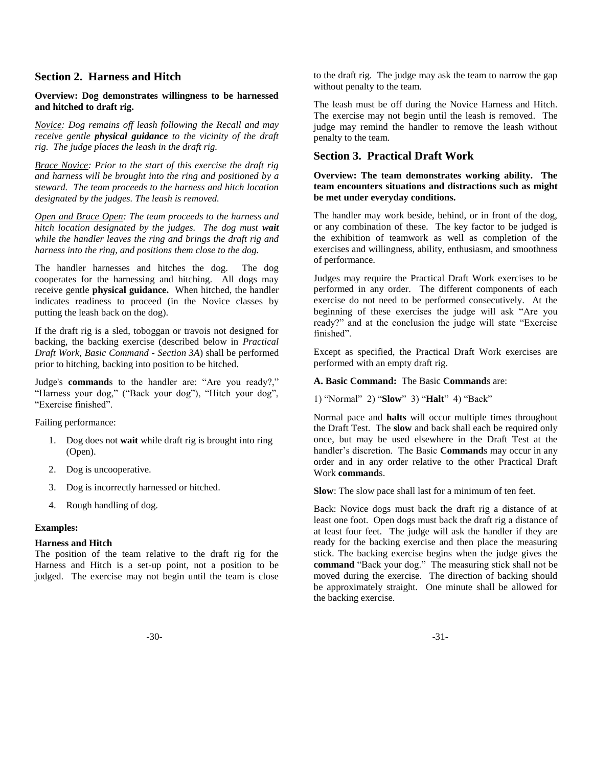### **Section 2. Harness and Hitch**

### **Overview: Dog demonstrates willingness to be harnessed and hitched to draft rig.**

*Novice: Dog remains off leash following the Recall and may receive gentle physical guidance to the vicinity of the draft rig. The judge places the leash in the draft rig.* 

*Brace Novice: Prior to the start of this exercise the draft rig and harness will be brought into the ring and positioned by a steward. The team proceeds to the harness and hitch location designated by the judges. The leash is removed.* 

*Open and Brace Open: The team proceeds to the harness and hitch location designated by the judges. The dog must wait while the handler leaves the ring and brings the draft rig and harness into the ring, and positions them close to the dog.* 

The handler harnesses and hitches the dog. The dog cooperates for the harnessing and hitching. All dogs may receive gentle **physical guidance.** When hitched, the handler indicates readiness to proceed (in the Novice classes by putting the leash back on the dog).

If the draft rig is a sled, toboggan or travois not designed for backing, the backing exercise (described below in *Practical Draft Work, Basic Command - Section 3A*) shall be performed prior to hitching, backing into position to be hitched.

Judge's **command**s to the handler are: "Are you ready?," "Harness your dog," ("Back your dog"), "Hitch your dog", "Exercise finished".

Failing performance:

- 1. Dog does not **wait** while draft rig is brought into ring (Open).
- 2. Dog is uncooperative.
- 3. Dog is incorrectly harnessed or hitched.
- 4. Rough handling of dog.

#### **Examples:**

#### **Harness and Hitch**

The position of the team relative to the draft rig for the Harness and Hitch is a set-up point, not a position to be judged. The exercise may not begin until the team is close to the draft rig. The judge may ask the team to narrow the gap without penalty to the team.

The leash must be off during the Novice Harness and Hitch. The exercise may not begin until the leash is removed. The judge may remind the handler to remove the leash without penalty to the team.

### **Section 3. Practical Draft Work**

### **Overview: The team demonstrates working ability. The team encounters situations and distractions such as might be met under everyday conditions.**

The handler may work beside, behind, or in front of the dog, or any combination of these. The key factor to be judged is the exhibition of teamwork as well as completion of the exercises and willingness, ability, enthusiasm, and smoothness of performance.

Judges may require the Practical Draft Work exercises to be performed in any order. The different components of each exercise do not need to be performed consecutively. At the beginning of these exercises the judge will ask "Are you ready?" and at the conclusion the judge will state "Exercise finished".

Except as specified, the Practical Draft Work exercises are performed with an empty draft rig.

#### **A. Basic Command:** The Basic **Command**s are:

1) "Normal" 2) "**Slow**" 3) "**Halt**" 4) "Back"

Normal pace and **halts** will occur multiple times throughout the Draft Test. The **slow** and back shall each be required only once, but may be used elsewhere in the Draft Test at the handler's discretion. The Basic **Command**s may occur in any order and in any order relative to the other Practical Draft Work **command**s.

**Slow**: The slow pace shall last for a minimum of ten feet.

Back: Novice dogs must back the draft rig a distance of at least one foot. Open dogs must back the draft rig a distance of at least four feet. The judge will ask the handler if they are ready for the backing exercise and then place the measuring stick. The backing exercise begins when the judge gives the **command** "Back your dog." The measuring stick shall not be moved during the exercise. The direction of backing should be approximately straight. One minute shall be allowed for the backing exercise.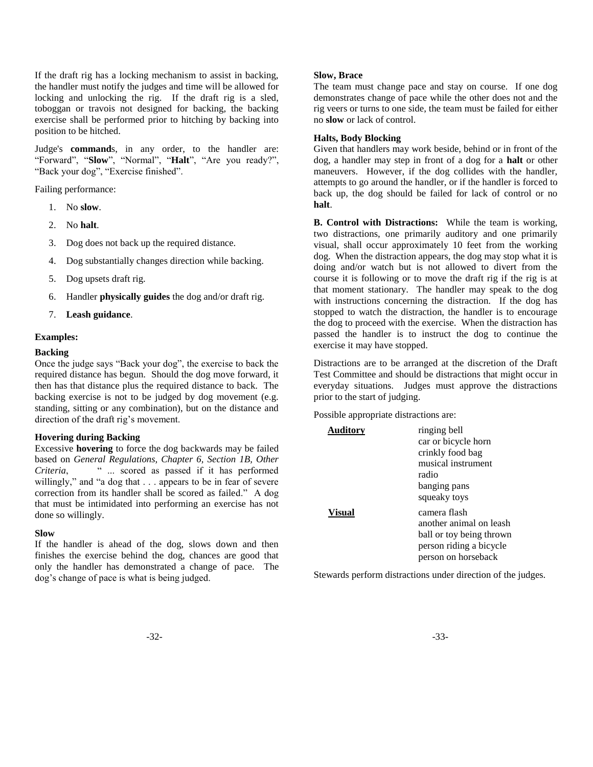If the draft rig has a locking mechanism to assist in backing, the handler must notify the judges and time will be allowed for locking and unlocking the rig. If the draft rig is a sled, toboggan or travois not designed for backing, the backing exercise shall be performed prior to hitching by backing into position to be hitched.

Judge's **command**s, in any order, to the handler are: "Forward", "**Slow**", "Normal", "**Halt**", "Are you ready?", "Back your dog", "Exercise finished".

Failing performance:

- 1. No **slow**.
- 2. No **halt**.
- 3. Dog does not back up the required distance.
- 4. Dog substantially changes direction while backing.
- 5. Dog upsets draft rig.
- 6. Handler **physically guides** the dog and/or draft rig.
- 7. **Leash guidance**.

#### **Examples:**

#### **Backing**

Once the judge says "Back your dog", the exercise to back the required distance has begun. Should the dog move forward, it then has that distance plus the required distance to back. The backing exercise is not to be judged by dog movement (e.g. standing, sitting or any combination), but on the distance and direction of the draft rig's movement.

#### **Hovering during Backing**

Excessive **hovering** to force the dog backwards may be failed based on *General Regulations, Chapter 6, Section 1B, Other Criteria*, " ... scored as passed if it has performed willingly," and "a dog that . . . appears to be in fear of severe correction from its handler shall be scored as failed." A dog that must be intimidated into performing an exercise has not done so willingly.

#### **Slow**

If the handler is ahead of the dog, slows down and then finishes the exercise behind the dog, chances are good that only the handler has demonstrated a change of pace. The dog"s change of pace is what is being judged.

#### **Slow, Brace**

The team must change pace and stay on course. If one dog demonstrates change of pace while the other does not and the rig veers or turns to one side, the team must be failed for either no **slow** or lack of control.

#### **Halts, Body Blocking**

Given that handlers may work beside, behind or in front of the dog, a handler may step in front of a dog for a **halt** or other maneuvers. However, if the dog collides with the handler, attempts to go around the handler, or if the handler is forced to back up, the dog should be failed for lack of control or no **halt**.

**B. Control with Distractions:** While the team is working, two distractions, one primarily auditory and one primarily visual, shall occur approximately 10 feet from the working dog. When the distraction appears, the dog may stop what it is doing and/or watch but is not allowed to divert from the course it is following or to move the draft rig if the rig is at that moment stationary. The handler may speak to the dog with instructions concerning the distraction. If the dog has stopped to watch the distraction, the handler is to encourage the dog to proceed with the exercise. When the distraction has passed the handler is to instruct the dog to continue the exercise it may have stopped.

Distractions are to be arranged at the discretion of the Draft Test Committee and should be distractions that might occur in everyday situations. Judges must approve the distractions prior to the start of judging.

Possible appropriate distractions are:

| Auditory | ringing bell             |
|----------|--------------------------|
|          | car or bicycle horn      |
|          | crinkly food bag         |
|          | musical instrument       |
|          | radio                    |
|          | banging pans             |
|          | squeaky toys             |
| Visual   | camera flash             |
|          | another animal on leash  |
|          | ball or toy being thrown |
|          | person riding a bicycle  |
|          | person on horseback      |

Stewards perform distractions under direction of the judges.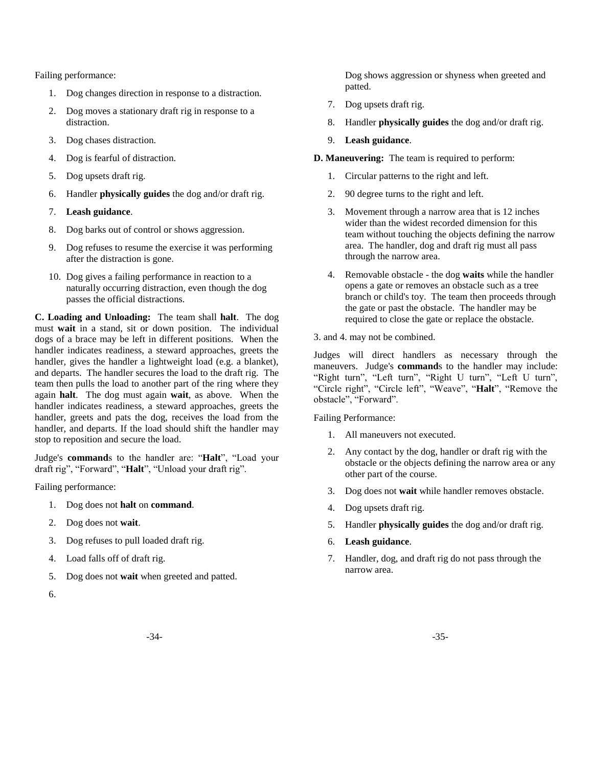Failing performance:

- 1. Dog changes direction in response to a distraction.
- 2. Dog moves a stationary draft rig in response to a distraction.
- 3. Dog chases distraction.
- 4. Dog is fearful of distraction.
- 5. Dog upsets draft rig.
- 6. Handler **physically guides** the dog and/or draft rig.
- 7. **Leash guidance**.
- 8. Dog barks out of control or shows aggression.
- 9. Dog refuses to resume the exercise it was performing after the distraction is gone.
- 10. Dog gives a failing performance in reaction to a naturally occurring distraction, even though the dog passes the official distractions.

**C. Loading and Unloading:** The team shall **halt**. The dog must **wait** in a stand, sit or down position. The individual dogs of a brace may be left in different positions. When the handler indicates readiness, a steward approaches, greets the handler, gives the handler a lightweight load (e.g. a blanket), and departs. The handler secures the load to the draft rig. The team then pulls the load to another part of the ring where they again **halt**. The dog must again **wait**, as above. When the handler indicates readiness, a steward approaches, greets the handler, greets and pats the dog, receives the load from the handler, and departs. If the load should shift the handler may stop to reposition and secure the load.

Judge's **command**s to the handler are: "**Halt**", "Load your draft rig", "Forward", "**Halt**", "Unload your draft rig".

Failing performance:

- 1. Dog does not **halt** on **command**.
- 2. Dog does not **wait**.
- 3. Dog refuses to pull loaded draft rig.
- 4. Load falls off of draft rig.
- 5. Dog does not **wait** when greeted and patted.
- 6.

Dog shows aggression or shyness when greeted and patted.

- 7. Dog upsets draft rig.
- 8. Handler **physically guides** the dog and/or draft rig.
- 9. **Leash guidance**.

**D. Maneuvering:** The team is required to perform:

- 1. Circular patterns to the right and left.
- 2. 90 degree turns to the right and left.
- 3. Movement through a narrow area that is 12 inches wider than the widest recorded dimension for this team without touching the objects defining the narrow area. The handler, dog and draft rig must all pass through the narrow area.
- 4. Removable obstacle the dog **waits** while the handler opens a gate or removes an obstacle such as a tree branch or child's toy. The team then proceeds through the gate or past the obstacle. The handler may be required to close the gate or replace the obstacle.

3. and 4. may not be combined.

Judges will direct handlers as necessary through the maneuvers. Judge's **command**s to the handler may include: "Right turn", "Left turn", "Right U turn", "Left U turn", "Circle right", "Circle left", "Weave", "**Halt**", "Remove the obstacle", "Forward".

Failing Performance:

- 1. All maneuvers not executed.
- 2. Any contact by the dog, handler or draft rig with the obstacle or the objects defining the narrow area or any other part of the course.
- 3. Dog does not **wait** while handler removes obstacle.
- 4. Dog upsets draft rig.
- 5. Handler **physically guides** the dog and/or draft rig.
- 6. **Leash guidance**.
- 7. Handler, dog, and draft rig do not pass through the narrow area.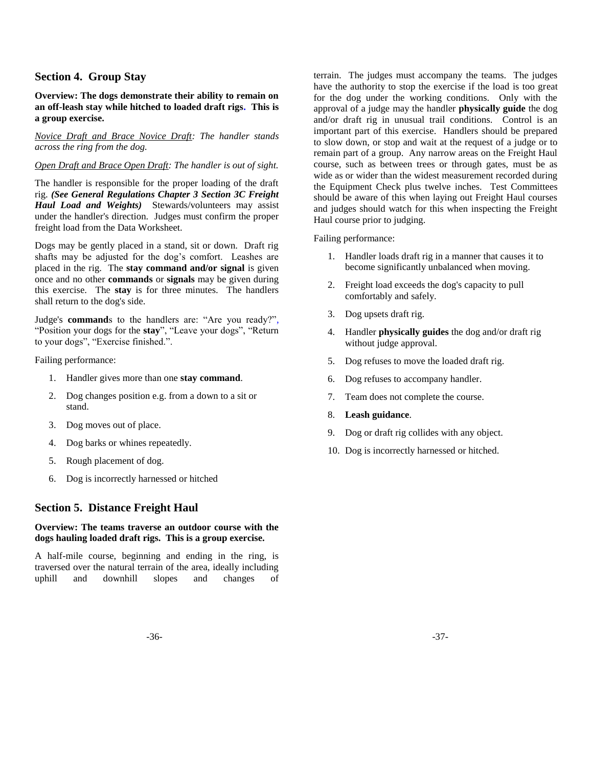### **Section 4. Group Stay**

**Overview: The dogs demonstrate their ability to remain on an off-leash stay while hitched to loaded draft rigs. This is a group exercise.** 

#### *Novice Draft and Brace Novice Draft: The handler stands across the ring from the dog.*

### *Open Draft and Brace Open Draft: The handler is out of sight.*

The handler is responsible for the proper loading of the draft rig. *(See General Regulations Chapter 3 Section 3C Freight Haul Load and Weights)* Stewards/volunteers may assist under the handler's direction. Judges must confirm the proper freight load from the Data Worksheet.

Dogs may be gently placed in a stand, sit or down. Draft rig shafts may be adjusted for the dog's comfort. Leashes are placed in the rig. The **stay command and/or signal** is given once and no other **commands** or **signals** may be given during this exercise. The **stay** is for three minutes. The handlers shall return to the dog's side.

Judge's **command**s to the handlers are: "Are you ready?", "Position your dogs for the **stay**", "Leave your dogs", "Return to your dogs", "Exercise finished.".

Failing performance:

- 1. Handler gives more than one **stay command**.
- 2. Dog changes position e.g. from a down to a sit or stand.
- 3. Dog moves out of place.
- 4. Dog barks or whines repeatedly.
- 5. Rough placement of dog.
- 6. Dog is incorrectly harnessed or hitched

### **Section 5. Distance Freight Haul**

### **Overview: The teams traverse an outdoor course with the dogs hauling loaded draft rigs. This is a group exercise.**

A half-mile course, beginning and ending in the ring, is traversed over the natural terrain of the area, ideally including uphill and downhill slopes and changes of

terrain. The judges must accompany the teams. The judges have the authority to stop the exercise if the load is too great for the dog under the working conditions. Only with the approval of a judge may the handler **physically guide** the dog and/or draft rig in unusual trail conditions. Control is an important part of this exercise. Handlers should be prepared to slow down, or stop and wait at the request of a judge or to remain part of a group. Any narrow areas on the Freight Haul course, such as between trees or through gates, must be as wide as or wider than the widest measurement recorded during the Equipment Check plus twelve inches. Test Committees should be aware of this when laying out Freight Haul courses and judges should watch for this when inspecting the Freight Haul course prior to judging.

#### Failing performance:

- 1. Handler loads draft rig in a manner that causes it to become significantly unbalanced when moving.
- 2. Freight load exceeds the dog's capacity to pull comfortably and safely.
- 3. Dog upsets draft rig.
- 4. Handler **physically guides** the dog and/or draft rig without judge approval.
- 5. Dog refuses to move the loaded draft rig.
- 6. Dog refuses to accompany handler.
- 7. Team does not complete the course.
- 8. **Leash guidance**.
- 9. Dog or draft rig collides with any object.
- 10. Dog is incorrectly harnessed or hitched.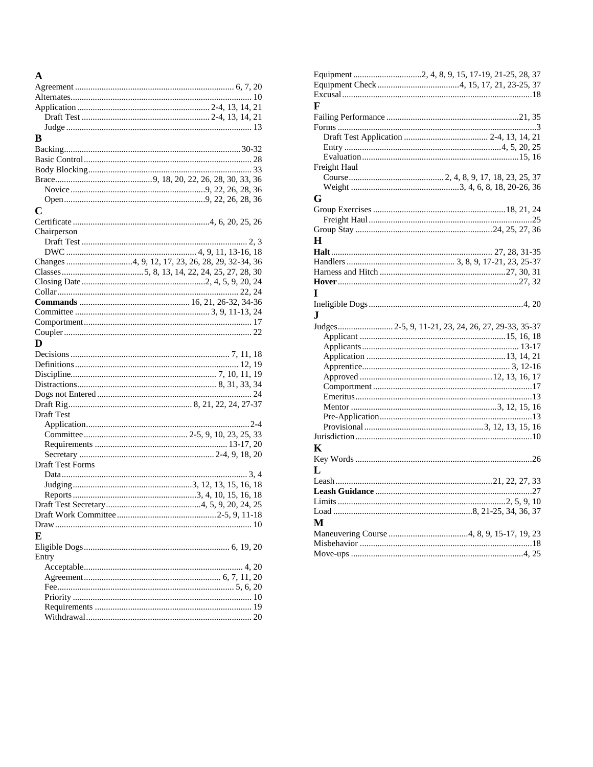| A                       |  |
|-------------------------|--|
|                         |  |
|                         |  |
|                         |  |
|                         |  |
|                         |  |
| В                       |  |
|                         |  |
|                         |  |
|                         |  |
|                         |  |
|                         |  |
|                         |  |
| C                       |  |
|                         |  |
|                         |  |
| Chairperson             |  |
|                         |  |
|                         |  |
|                         |  |
|                         |  |
|                         |  |
|                         |  |
|                         |  |
|                         |  |
|                         |  |
|                         |  |
| D                       |  |
|                         |  |
|                         |  |
|                         |  |
|                         |  |
|                         |  |
|                         |  |
| Draft Test              |  |
|                         |  |
|                         |  |
|                         |  |
|                         |  |
| <b>Draft Test Forms</b> |  |
|                         |  |
|                         |  |
|                         |  |
|                         |  |
|                         |  |
|                         |  |
| E                       |  |
|                         |  |
|                         |  |
| Entry                   |  |
|                         |  |
|                         |  |
|                         |  |
|                         |  |
|                         |  |
|                         |  |

| F                          |
|----------------------------|
|                            |
|                            |
|                            |
|                            |
|                            |
| Freight Haul               |
|                            |
|                            |
| G                          |
|                            |
|                            |
|                            |
| H                          |
|                            |
|                            |
|                            |
|                            |
|                            |
| T                          |
|                            |
| J.                         |
|                            |
|                            |
|                            |
|                            |
|                            |
|                            |
|                            |
|                            |
|                            |
|                            |
|                            |
|                            |
|                            |
| K                          |
|                            |
| L                          |
|                            |
|                            |
|                            |
|                            |
| М                          |
|                            |
|                            |
|                            |
| $\Delta$ 25<br>$Move$ -uns |